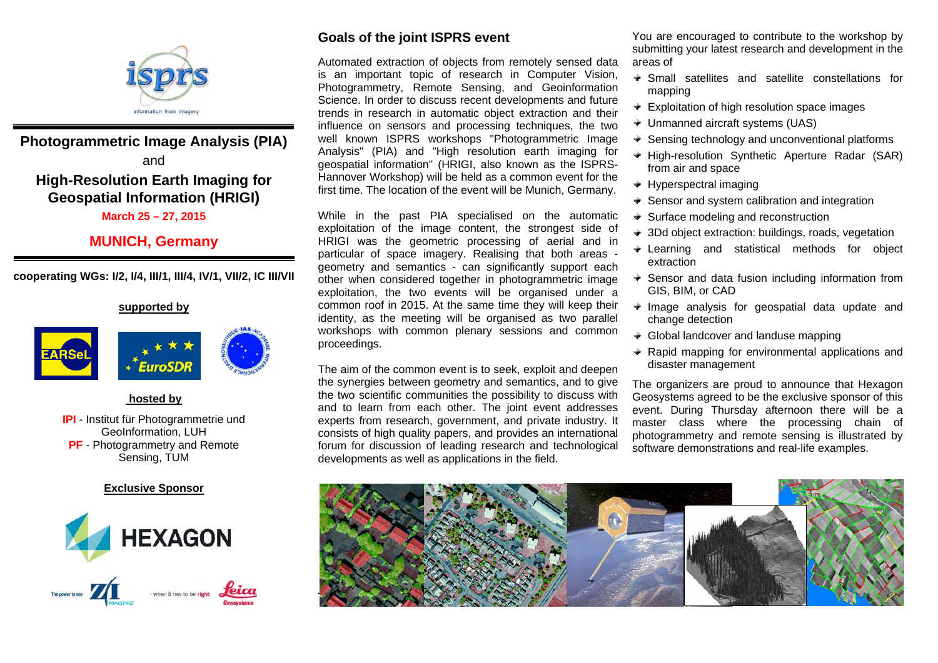

## **Photogrammetric Image Analysis (PIA)**  and **High-Resolution Earth Imaging for Geospatial Information (HRIGI)**

#### **March 25 – 27, 2015**

### **MUNICH, Germany**

**cooperating WGs: I/2, I/4, III/1, III/4, IV/1, VII/2, IC III/VII** 

#### **supported by**



#### **hosted by**

**IPI** - Institut für Photogrammetrie und GeoInformation, LUH **PF** - Photogrammetry and Remote Sensing, TUM

#### **Exclusive Sponsor**





#### **Goals of the joint ISPRS event**

Automated extraction of objects from remotely sensed data is an important topic of research in Computer Vision, Photogrammetry, Remote Sensing, and Geoinformation Science. In order to discuss recent developments and future trends in research in automatic object extraction and their influence on sensors and processing techniques, the two well known ISPRS workshops "Photogrammetric Image Analysis" (PIA) and "High resolution earth imaging for geospatial information" (HRIGI, also known as the ISPRS-Hannover Workshop) will be held as a common event for the first time. The location of the event will be Munich, Germany.

While in the past PIA specialised on the automatic exploitation of the image content, the strongest side of HRIGI was the geometric processing of aerial and in particular of space imagery. Realising that both areas geometry and semantics - can significantly support each other when considered together in photogrammetric image exploitation, the two events will be organised under a common roof in 2015. At the same time they will keep their identity, as the meeting will be organised as two parallel workshops with common plenary sessions and common proceedings.

The aim of the common event is to seek, exploit and deepen the synergies between geometry and semantics, and to give the two scientific communities the possibility to discuss with and to learn from each other. The joint event addresses experts from research, government, and private industry. It consists of high quality papers, and provides an international forum for discussion of leading research and technological developments as well as applications in the field.

You are encouraged to contribute to the workshop by submitting your latest research and development in the areas of

- Small satellites and satellite constellations for mapping
- $\div$  Exploitation of high resolution space images
- Unmanned aircraft systems (UAS)
- $\triangleq$  Sensing technology and unconventional platforms
- $\div$  High-resolution Synthetic Aperture Radar (SAR) from air and space
- $\rightarrow$  Hyperspectral imaging
- $\div$  Sensor and system calibration and integration
- $\div$  Surface modeling and reconstruction
- 3Dd object extraction: buildings, roads, vegetation
- Learning and statistical methods for object extraction
- $\div$  Sensor and data fusion including information from GIS, BIM, or CAD
- $\rightarrow$  Image analysis for geospatial data update and change detection
- $\div$  Global landcover and landuse mapping
- $\div$  Rapid mapping for environmental applications and disaster management

The organizers are proud to announce that Hexagon Geosystems agreed to be the exclusive sponsor of this event. During Thursday afternoon there will be a master class where the processing chain of photogrammetry and remote sensing is illustrated by software demonstrations and real-life examples.